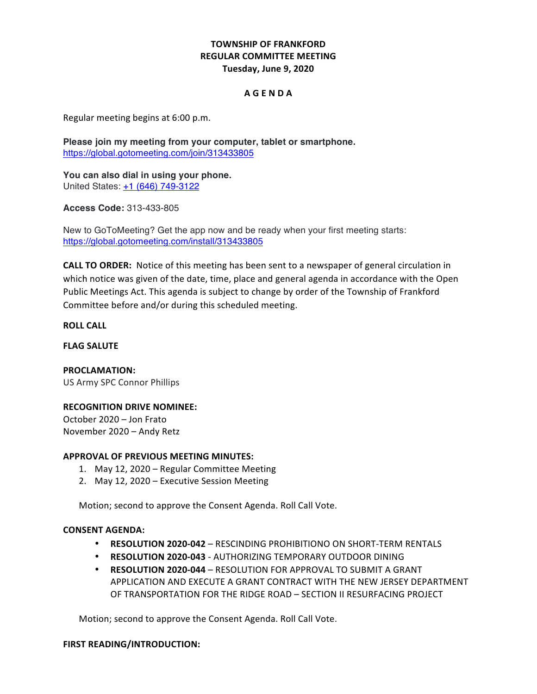# **TOWNSHIP OF FRANKFORD REGULAR COMMITTEE MEETING Tuesday, June 9, 2020**

# **A G E N D A**

 Regular meeting begins at 6:00 p.m.

 **Please join my meeting from your computer, tablet or smartphone.** https://global.gotomeeting.com/join/313433805

 **You can also dial in using your phone.** United States: +1 (646) 749-3122

**Access Code:** 313-433-805

 New to GoToMeeting? Get the app now and be ready when your first meeting starts: https://global.gotomeeting.com/install/313433805

**CALL TO ORDER:** Notice of this meeting has been sent to a newspaper of general circulation in which notice was given of the date, time, place and general agenda in accordance with the Open Public Meetings Act. This agenda is subject to change by order of the Township of Frankford Committee before and/or during this scheduled meeting.

**ROLL CALL**

**FLAG SALUTE**

 US Army SPC Connor Phillips **PROCLAMATION:**

## **RECOGNITION DRIVE NOMINEE:**

 October 2020 – Jon Frato November 2020 – Andy Retz

## **APPROVAL OF PREVIOUS MEETING MINUTES:**

- 1. May 12, 2020 Regular Committee Meeting
- 2. May 12, 2020 Executive Session Meeting

 Motion; second to approve the Consent Agenda. Roll Call Vote.

## **CONSENT AGENDA:**

- • **RESOLUTION 2020-042**  RESCINDING PROHIBITIONO ON SHORT-TERM RENTALS
- • **RESOLUTION 2020-043** AUTHORIZING TEMPORARY OUTDOOR DINING
- • **RESOLUTION 2020-044** RESOLUTION FOR APPROVAL TO SUBMIT A GRANT APPLICATION AND EXECUTE A GRANT CONTRACT WITH THE NEW JERSEY DEPARTMENT OF TRANSPORTATION FOR THE RIDGE ROAD – SECTION II RESURFACING PROJECT

 Motion; second to approve the Consent Agenda. Roll Call Vote.

#### **FIRST READING/INTRODUCTION:**